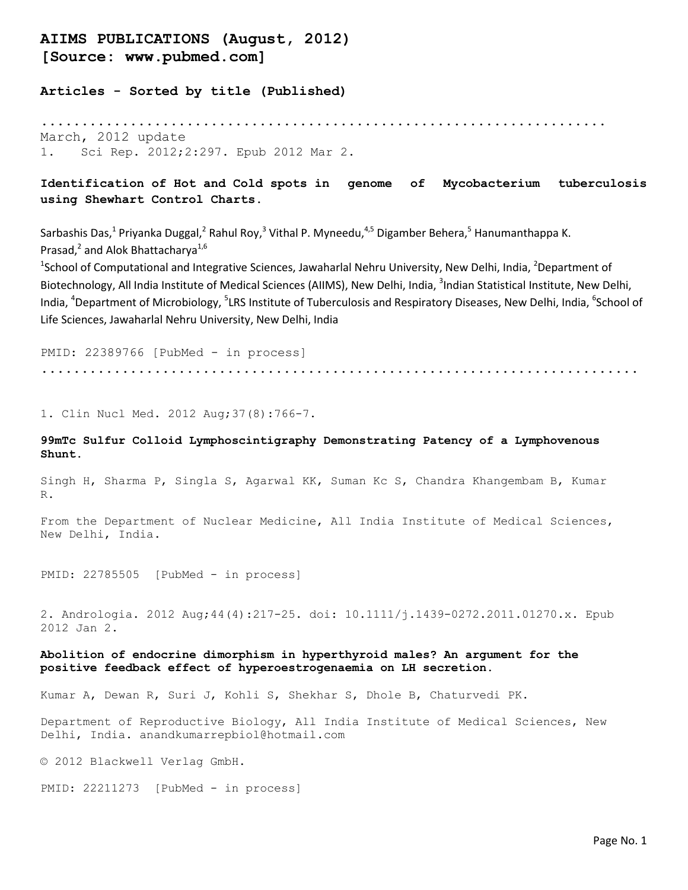# AIIMS PUBLICATIONS (August, 2012) [Source: www.pubmed.com]

Articles - Sorted by title (Published)

...................................................................... March, 2012 update 1. Sci Rep. 2012;2:297. Epub 2012 Mar 2.

# Identification of Hot and Cold spots in genome of Mycobacterium tuberculosis using Shewhart Control Charts.

Sarbashis Das,<sup>1</sup> Priyanka Duggal,<sup>2</sup> Rahul Roy,<sup>3</sup> Vithal P. Myneedu,<sup>4,5</sup> Digamber Behera,<sup>5</sup> Hanumanthappa K. Prasad,<sup>2</sup> and Alok Bhattacharya<sup>1,6</sup>

<sup>1</sup>School of Computational and Integrative Sciences, Jawaharlal Nehru University, New Delhi, India, <sup>2</sup>Department of Biotechnology, All India Institute of Medical Sciences (AIIMS), New Delhi, India, <sup>3</sup>Indian Statistical Institute, New Delhi, India, <sup>4</sup>Department of Microbiology, <sup>5</sup>LRS Institute of Tuberculosis and Respiratory Diseases, New Delhi, India, <sup>6</sup>School of Life Sciences, Jawaharlal Nehru University, New Delhi, India

PMID: 22389766 [PubMed - in process] ..........................................................................

1. Clin Nucl Med. 2012 Aug;37(8):766-7.

## 99mTc Sulfur Colloid Lymphoscintigraphy Demonstrating Patency of a Lymphovenous Shunt.

Singh H, Sharma P, Singla S, Agarwal KK, Suman Kc S, Chandra Khangembam B, Kumar R.

From the Department of Nuclear Medicine, All India Institute of Medical Sciences, New Delhi, India.

PMID: 22785505 [PubMed - in process]

2. Andrologia. 2012 Aug;44(4):217-25. doi: 10.1111/j.1439-0272.2011.01270.x. Epub 2012 Jan 2.

### Abolition of endocrine dimorphism in hyperthyroid males? An argument for the positive feedback effect of hyperoestrogenaemia on LH secretion.

Kumar A, Dewan R, Suri J, Kohli S, Shekhar S, Dhole B, Chaturvedi PK.

Department of Reproductive Biology, All India Institute of Medical Sciences, New Delhi, India. anandkumarrepbiol@hotmail.com

© 2012 Blackwell Verlag GmbH.

PMID: 22211273 [PubMed - in process]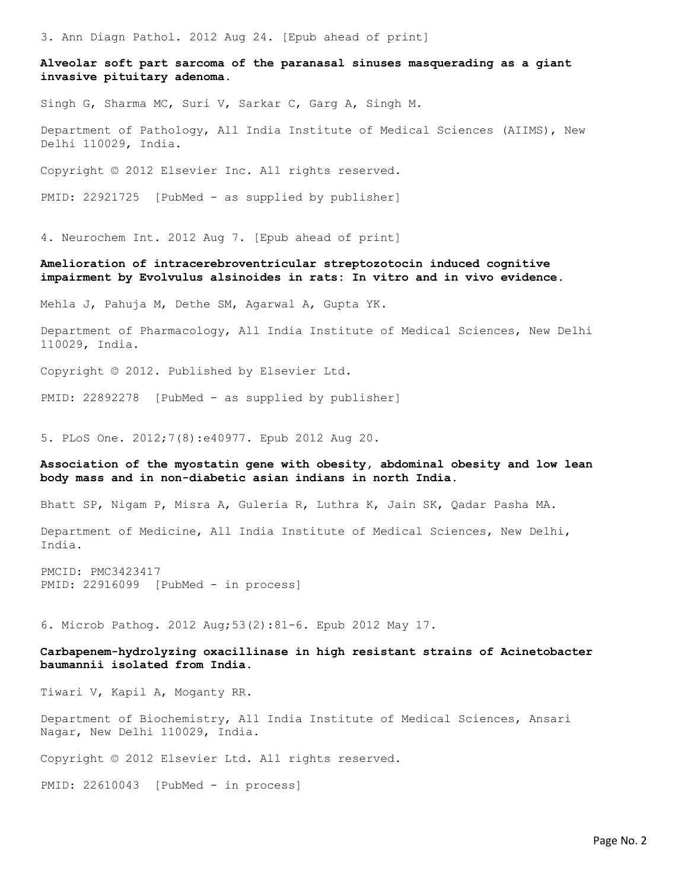3. Ann Diagn Pathol. 2012 Aug 24. [Epub ahead of print]

Alveolar soft part sarcoma of the paranasal sinuses masquerading as a giant invasive pituitary adenoma.

Singh G, Sharma MC, Suri V, Sarkar C, Garg A, Singh M.

Department of Pathology, All India Institute of Medical Sciences (AIIMS), New Delhi 110029, India.

Copyright © 2012 Elsevier Inc. All rights reserved.

PMID: 22921725 [PubMed - as supplied by publisher]

4. Neurochem Int. 2012 Aug 7. [Epub ahead of print]

### Amelioration of intracerebroventricular streptozotocin induced cognitive impairment by Evolvulus alsinoides in rats: In vitro and in vivo evidence.

Mehla J, Pahuja M, Dethe SM, Agarwal A, Gupta YK.

Department of Pharmacology, All India Institute of Medical Sciences, New Delhi 110029, India.

Copyright © 2012. Published by Elsevier Ltd.

PMID: 22892278 [PubMed - as supplied by publisher]

5. PLoS One. 2012;7(8):e40977. Epub 2012 Aug 20.

### Association of the myostatin gene with obesity, abdominal obesity and low lean body mass and in non-diabetic asian indians in north India.

Bhatt SP, Nigam P, Misra A, Guleria R, Luthra K, Jain SK, Qadar Pasha MA.

Department of Medicine, All India Institute of Medical Sciences, New Delhi, India.

PMCID: PMC3423417 PMID: 22916099 [PubMed - in process]

6. Microb Pathog. 2012 Aug;53(2):81-6. Epub 2012 May 17.

Carbapenem-hydrolyzing oxacillinase in high resistant strains of Acinetobacter baumannii isolated from India.

Tiwari V, Kapil A, Moganty RR.

Department of Biochemistry, All India Institute of Medical Sciences, Ansari Nagar, New Delhi 110029, India.

Copyright © 2012 Elsevier Ltd. All rights reserved.

PMID: 22610043 [PubMed - in process]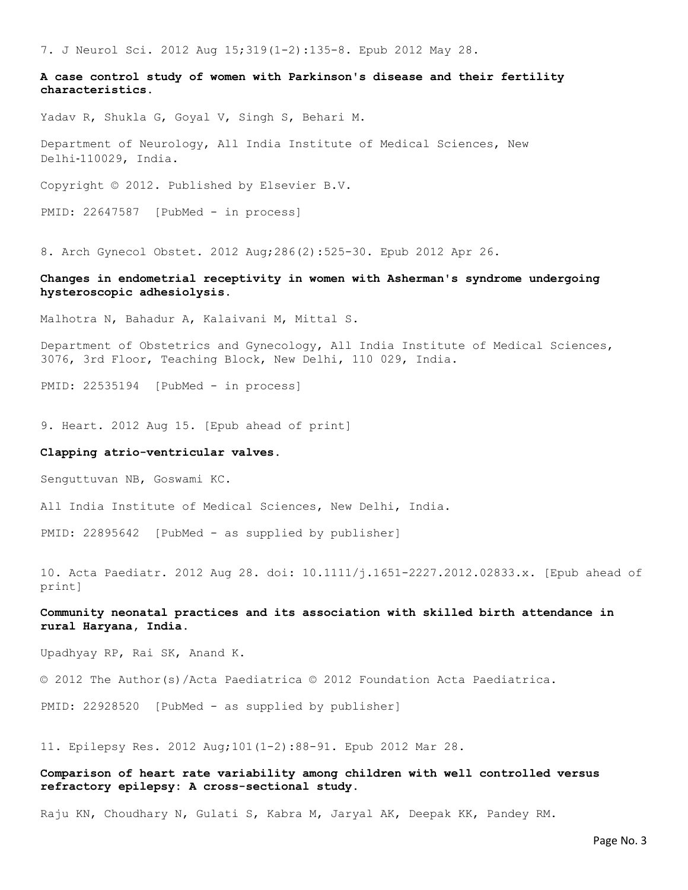7. J Neurol Sci. 2012 Aug 15;319(1-2):135-8. Epub 2012 May 28.

A case control study of women with Parkinson's disease and their fertility characteristics.

Yadav R, Shukla G, Goyal V, Singh S, Behari M.

Department of Neurology, All India Institute of Medical Sciences, New Delhi‐110029, India.

Copyright © 2012. Published by Elsevier B.V.

PMID: 22647587 [PubMed - in process]

8. Arch Gynecol Obstet. 2012 Aug;286(2):525-30. Epub 2012 Apr 26.

### Changes in endometrial receptivity in women with Asherman's syndrome undergoing hysteroscopic adhesiolysis.

Malhotra N, Bahadur A, Kalaivani M, Mittal S.

Department of Obstetrics and Gynecology, All India Institute of Medical Sciences, 3076, 3rd Floor, Teaching Block, New Delhi, 110 029, India.

PMID: 22535194 [PubMed - in process]

9. Heart. 2012 Aug 15. [Epub ahead of print]

### Clapping atrio-ventricular valves.

Senguttuvan NB, Goswami KC.

All India Institute of Medical Sciences, New Delhi, India.

PMID: 22895642 [PubMed - as supplied by publisher]

10. Acta Paediatr. 2012 Aug 28. doi: 10.1111/j.1651-2227.2012.02833.x. [Epub ahead of print]

### Community neonatal practices and its association with skilled birth attendance in rural Haryana, India.

Upadhyay RP, Rai SK, Anand K.

© 2012 The Author(s)/Acta Paediatrica © 2012 Foundation Acta Paediatrica.

PMID: 22928520 [PubMed - as supplied by publisher]

11. Epilepsy Res. 2012 Aug;101(1-2):88-91. Epub 2012 Mar 28.

### Comparison of heart rate variability among children with well controlled versus refractory epilepsy: A cross-sectional study.

Raju KN, Choudhary N, Gulati S, Kabra M, Jaryal AK, Deepak KK, Pandey RM.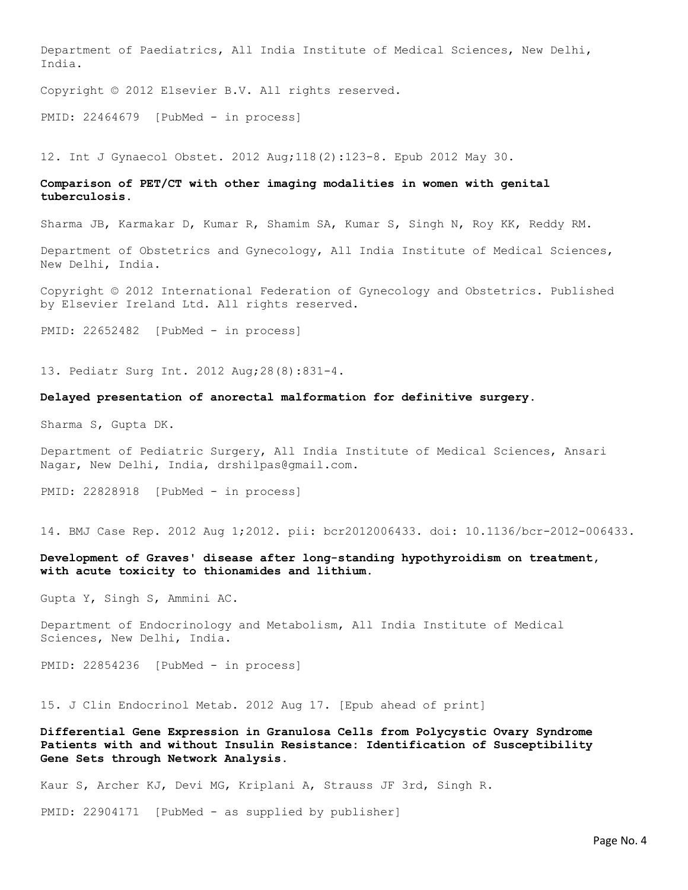Department of Paediatrics, All India Institute of Medical Sciences, New Delhi, India.

Copyright © 2012 Elsevier B.V. All rights reserved.

PMID: 22464679 [PubMed - in process]

12. Int J Gynaecol Obstet. 2012 Aug;118(2):123-8. Epub 2012 May 30.

### Comparison of PET/CT with other imaging modalities in women with genital tuberculosis.

Sharma JB, Karmakar D, Kumar R, Shamim SA, Kumar S, Singh N, Roy KK, Reddy RM.

Department of Obstetrics and Gynecology, All India Institute of Medical Sciences, New Delhi, India.

Copyright © 2012 International Federation of Gynecology and Obstetrics. Published by Elsevier Ireland Ltd. All rights reserved.

PMID: 22652482 [PubMed - in process]

13. Pediatr Surg Int. 2012 Aug;28(8):831-4.

### Delayed presentation of anorectal malformation for definitive surgery.

Sharma S, Gupta DK.

Department of Pediatric Surgery, All India Institute of Medical Sciences, Ansari Nagar, New Delhi, India, drshilpas@gmail.com.

PMID: 22828918 [PubMed - in process]

14. BMJ Case Rep. 2012 Aug 1;2012. pii: bcr2012006433. doi: 10.1136/bcr-2012-006433.

### Development of Graves' disease after long-standing hypothyroidism on treatment, with acute toxicity to thionamides and lithium.

Gupta Y, Singh S, Ammini AC.

Department of Endocrinology and Metabolism, All India Institute of Medical Sciences, New Delhi, India.

PMID: 22854236 [PubMed - in process]

15. J Clin Endocrinol Metab. 2012 Aug 17. [Epub ahead of print]

Differential Gene Expression in Granulosa Cells from Polycystic Ovary Syndrome Patients with and without Insulin Resistance: Identification of Susceptibility Gene Sets through Network Analysis.

Kaur S, Archer KJ, Devi MG, Kriplani A, Strauss JF 3rd, Singh R.

PMID: 22904171 [PubMed - as supplied by publisher]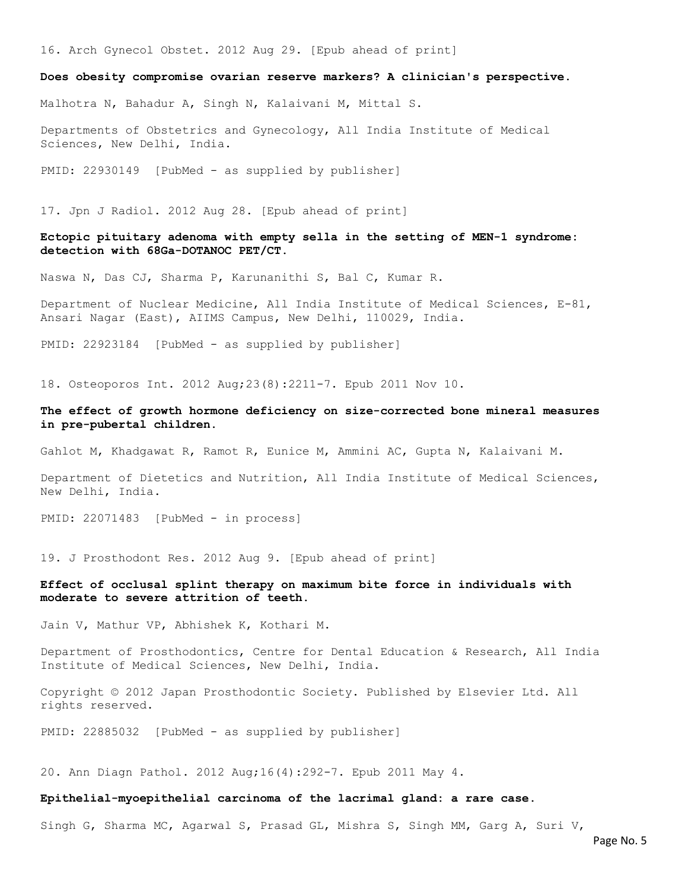16. Arch Gynecol Obstet. 2012 Aug 29. [Epub ahead of print]

#### Does obesity compromise ovarian reserve markers? A clinician's perspective.

Malhotra N, Bahadur A, Singh N, Kalaivani M, Mittal S.

Departments of Obstetrics and Gynecology, All India Institute of Medical Sciences, New Delhi, India.

PMID: 22930149 [PubMed - as supplied by publisher]

17. Jpn J Radiol. 2012 Aug 28. [Epub ahead of print]

### Ectopic pituitary adenoma with empty sella in the setting of MEN-1 syndrome: detection with 68Ga-DOTANOC PET/CT.

Naswa N, Das CJ, Sharma P, Karunanithi S, Bal C, Kumar R.

Department of Nuclear Medicine, All India Institute of Medical Sciences, E-81, Ansari Nagar (East), AIIMS Campus, New Delhi, 110029, India.

PMID: 22923184 [PubMed - as supplied by publisher]

18. Osteoporos Int. 2012 Aug;23(8):2211-7. Epub 2011 Nov 10.

### The effect of growth hormone deficiency on size-corrected bone mineral measures in pre-pubertal children.

Gahlot M, Khadgawat R, Ramot R, Eunice M, Ammini AC, Gupta N, Kalaivani M.

Department of Dietetics and Nutrition, All India Institute of Medical Sciences, New Delhi, India.

PMID: 22071483 [PubMed - in process]

19. J Prosthodont Res. 2012 Aug 9. [Epub ahead of print]

### Effect of occlusal splint therapy on maximum bite force in individuals with moderate to severe attrition of teeth.

Jain V, Mathur VP, Abhishek K, Kothari M.

Department of Prosthodontics, Centre for Dental Education & Research, All India Institute of Medical Sciences, New Delhi, India.

Copyright © 2012 Japan Prosthodontic Society. Published by Elsevier Ltd. All rights reserved.

PMID: 22885032 [PubMed - as supplied by publisher]

20. Ann Diagn Pathol. 2012 Aug;16(4):292-7. Epub 2011 May 4.

#### Epithelial-myoepithelial carcinoma of the lacrimal gland: a rare case.

Singh G, Sharma MC, Agarwal S, Prasad GL, Mishra S, Singh MM, Garg A, Suri V,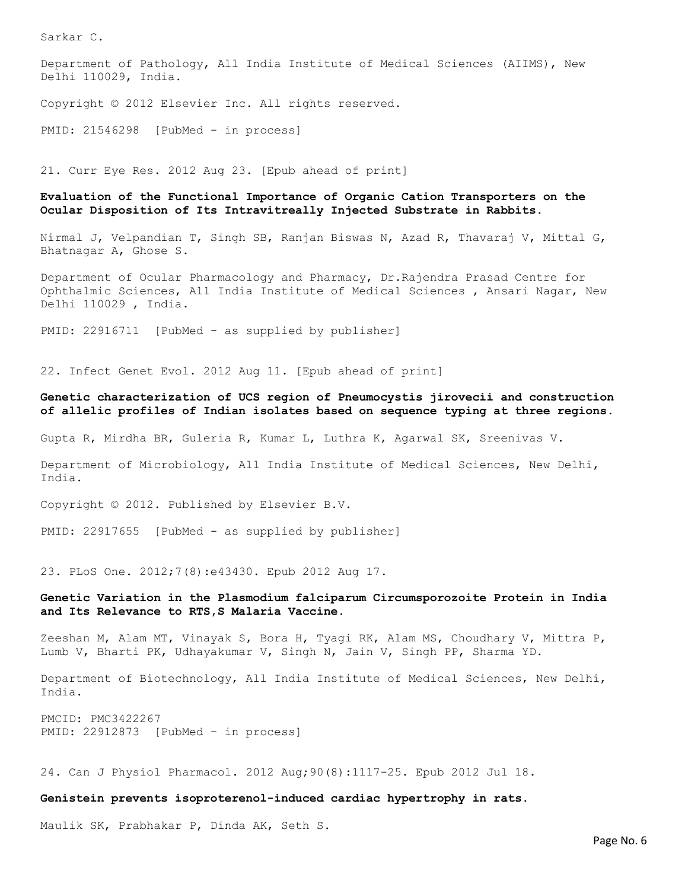Sarkar C.

Department of Pathology, All India Institute of Medical Sciences (AIIMS), New Delhi 110029, India.

Copyright © 2012 Elsevier Inc. All rights reserved.

PMID: 21546298 [PubMed - in process]

21. Curr Eye Res. 2012 Aug 23. [Epub ahead of print]

### Evaluation of the Functional Importance of Organic Cation Transporters on the Ocular Disposition of Its Intravitreally Injected Substrate in Rabbits.

Nirmal J, Velpandian T, Singh SB, Ranjan Biswas N, Azad R, Thavaraj V, Mittal G, Bhatnagar A, Ghose S.

Department of Ocular Pharmacology and Pharmacy, Dr.Rajendra Prasad Centre for Ophthalmic Sciences, All India Institute of Medical Sciences , Ansari Nagar, New Delhi 110029 , India.

PMID: 22916711 [PubMed - as supplied by publisher]

22. Infect Genet Evol. 2012 Aug 11. [Epub ahead of print]

### Genetic characterization of UCS region of Pneumocystis jirovecii and construction of allelic profiles of Indian isolates based on sequence typing at three regions.

Gupta R, Mirdha BR, Guleria R, Kumar L, Luthra K, Agarwal SK, Sreenivas V.

Department of Microbiology, All India Institute of Medical Sciences, New Delhi, India.

Copyright © 2012. Published by Elsevier B.V.

PMID: 22917655 [PubMed - as supplied by publisher]

23. PLoS One. 2012;7(8):e43430. Epub 2012 Aug 17.

### Genetic Variation in the Plasmodium falciparum Circumsporozoite Protein in India and Its Relevance to RTS,S Malaria Vaccine.

Zeeshan M, Alam MT, Vinayak S, Bora H, Tyagi RK, Alam MS, Choudhary V, Mittra P, Lumb V, Bharti PK, Udhayakumar V, Singh N, Jain V, Singh PP, Sharma YD.

Department of Biotechnology, All India Institute of Medical Sciences, New Delhi, India.

PMCID: PMC3422267 PMID: 22912873 [PubMed - in process]

24. Can J Physiol Pharmacol. 2012 Aug;90(8):1117-25. Epub 2012 Jul 18.

Genistein prevents isoproterenol-induced cardiac hypertrophy in rats.

Maulik SK, Prabhakar P, Dinda AK, Seth S.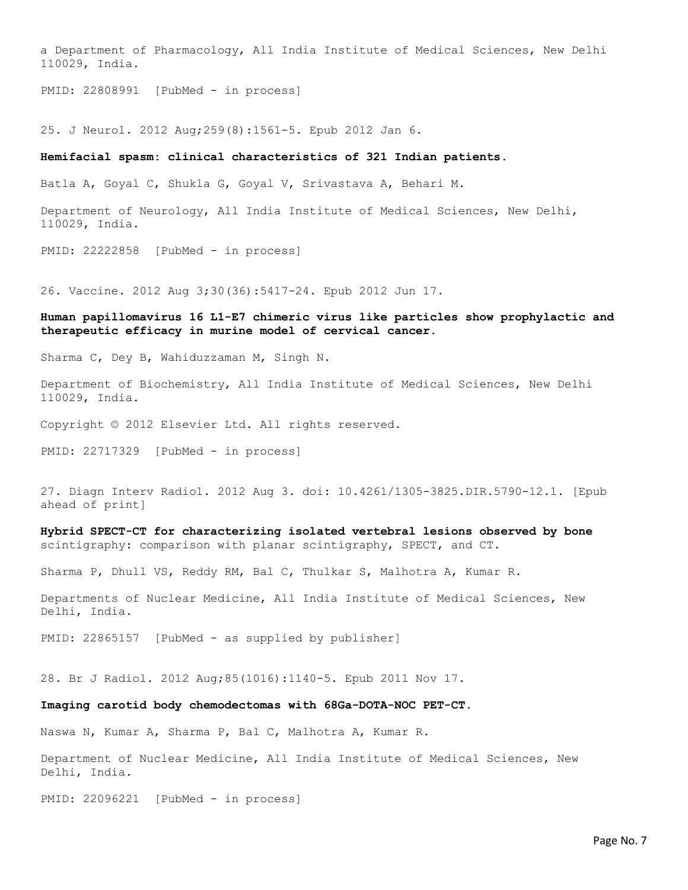a Department of Pharmacology, All India Institute of Medical Sciences, New Delhi 110029, India.

PMID: 22808991 [PubMed - in process]

25. J Neurol. 2012 Aug;259(8):1561-5. Epub 2012 Jan 6.

#### Hemifacial spasm: clinical characteristics of 321 Indian patients.

Batla A, Goyal C, Shukla G, Goyal V, Srivastava A, Behari M.

Department of Neurology, All India Institute of Medical Sciences, New Delhi, 110029, India.

PMID: 22222858 [PubMed - in process]

26. Vaccine. 2012 Aug 3;30(36):5417-24. Epub 2012 Jun 17.

### Human papillomavirus 16 L1-E7 chimeric virus like particles show prophylactic and therapeutic efficacy in murine model of cervical cancer.

Sharma C, Dey B, Wahiduzzaman M, Singh N.

Department of Biochemistry, All India Institute of Medical Sciences, New Delhi 110029, India.

Copyright © 2012 Elsevier Ltd. All rights reserved.

PMID: 22717329 [PubMed - in process]

27. Diagn Interv Radiol. 2012 Aug 3. doi: 10.4261/1305-3825.DIR.5790-12.1. [Epub ahead of print]

Hybrid SPECT-CT for characterizing isolated vertebral lesions observed by bone scintigraphy: comparison with planar scintigraphy, SPECT, and CT.

Sharma P, Dhull VS, Reddy RM, Bal C, Thulkar S, Malhotra A, Kumar R.

Departments of Nuclear Medicine, All India Institute of Medical Sciences, New Delhi, India.

PMID: 22865157 [PubMed - as supplied by publisher]

28. Br J Radiol. 2012 Aug;85(1016):1140-5. Epub 2011 Nov 17.

#### Imaging carotid body chemodectomas with 68Ga-DOTA-NOC PET-CT.

Naswa N, Kumar A, Sharma P, Bal C, Malhotra A, Kumar R.

Department of Nuclear Medicine, All India Institute of Medical Sciences, New Delhi, India.

PMID: 22096221 [PubMed - in process]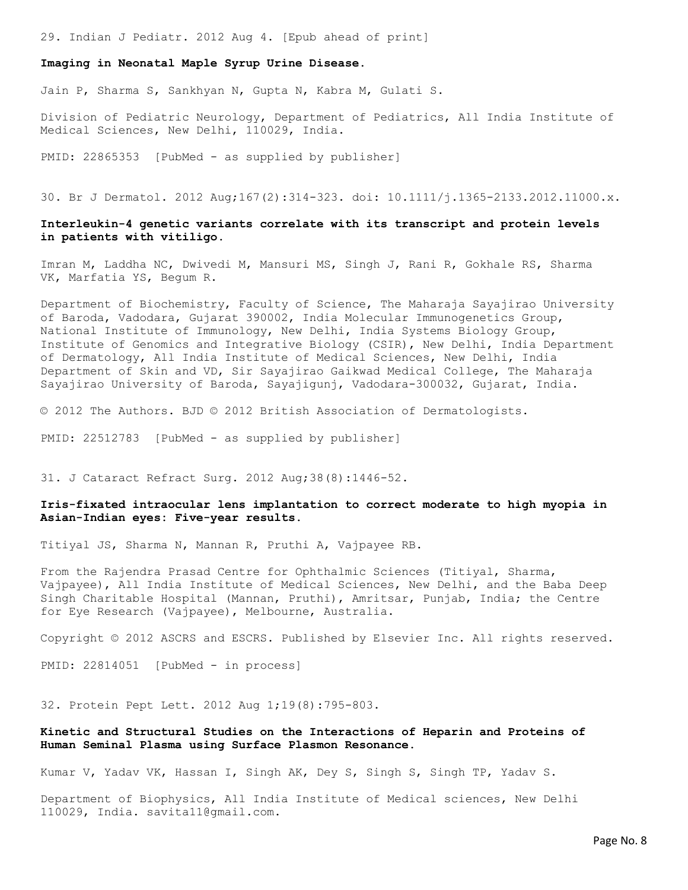29. Indian J Pediatr. 2012 Aug 4. [Epub ahead of print]

## Imaging in Neonatal Maple Syrup Urine Disease.

Jain P, Sharma S, Sankhyan N, Gupta N, Kabra M, Gulati S.

Division of Pediatric Neurology, Department of Pediatrics, All India Institute of Medical Sciences, New Delhi, 110029, India.

PMID: 22865353 [PubMed - as supplied by publisher]

30. Br J Dermatol. 2012 Aug;167(2):314-323. doi: 10.1111/j.1365-2133.2012.11000.x.

### Interleukin-4 genetic variants correlate with its transcript and protein levels in patients with vitiligo.

Imran M, Laddha NC, Dwivedi M, Mansuri MS, Singh J, Rani R, Gokhale RS, Sharma VK, Marfatia YS, Begum R.

Department of Biochemistry, Faculty of Science, The Maharaja Sayajirao University of Baroda, Vadodara, Gujarat 390002, India Molecular Immunogenetics Group, National Institute of Immunology, New Delhi, India Systems Biology Group, Institute of Genomics and Integrative Biology (CSIR), New Delhi, India Department of Dermatology, All India Institute of Medical Sciences, New Delhi, India Department of Skin and VD, Sir Sayajirao Gaikwad Medical College, The Maharaja Sayajirao University of Baroda, Sayajigunj, Vadodara-300032, Gujarat, India.

© 2012 The Authors. BJD © 2012 British Association of Dermatologists.

PMID: 22512783 [PubMed - as supplied by publisher]

31. J Cataract Refract Surg. 2012 Aug;38(8):1446-52.

### Iris-fixated intraocular lens implantation to correct moderate to high myopia in Asian-Indian eyes: Five-year results.

Titiyal JS, Sharma N, Mannan R, Pruthi A, Vajpayee RB.

From the Rajendra Prasad Centre for Ophthalmic Sciences (Titiyal, Sharma, Vajpayee), All India Institute of Medical Sciences, New Delhi, and the Baba Deep Singh Charitable Hospital (Mannan, Pruthi), Amritsar, Punjab, India; the Centre for Eye Research (Vajpayee), Melbourne, Australia.

Copyright © 2012 ASCRS and ESCRS. Published by Elsevier Inc. All rights reserved.

PMID: 22814051 [PubMed - in process]

32. Protein Pept Lett. 2012 Aug 1;19(8):795-803.

## Kinetic and Structural Studies on the Interactions of Heparin and Proteins of Human Seminal Plasma using Surface Plasmon Resonance.

Kumar V, Yadav VK, Hassan I, Singh AK, Dey S, Singh S, Singh TP, Yadav S.

Department of Biophysics, All India Institute of Medical sciences, New Delhi 110029, India. savita11@gmail.com.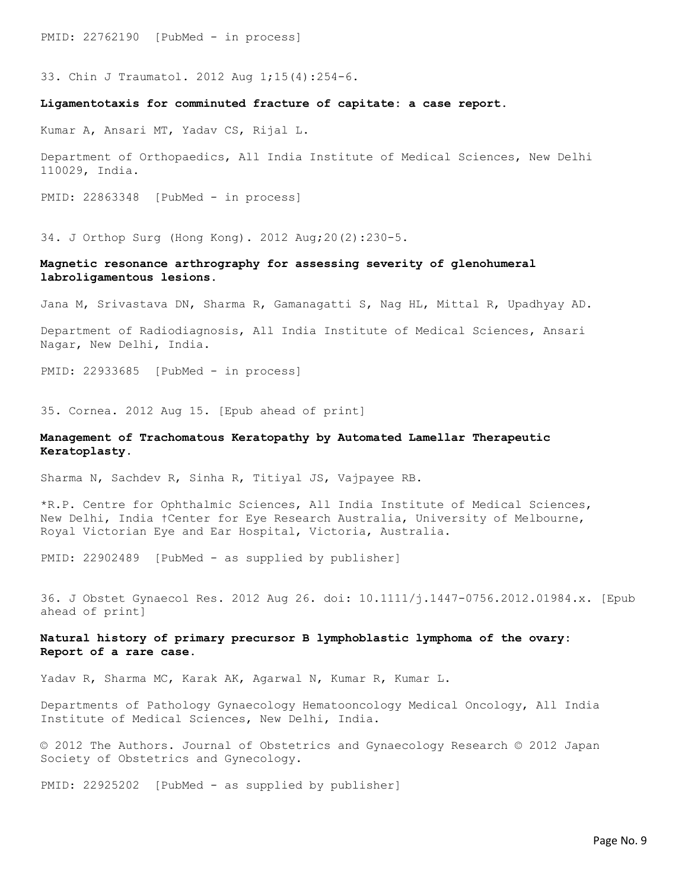PMID: 22762190 [PubMed - in process]

33. Chin J Traumatol. 2012 Aug 1;15(4):254-6.

### Ligamentotaxis for comminuted fracture of capitate: a case report.

Kumar A, Ansari MT, Yadav CS, Rijal L.

Department of Orthopaedics, All India Institute of Medical Sciences, New Delhi 110029, India.

PMID: 22863348 [PubMed - in process]

34. J Orthop Surg (Hong Kong). 2012 Aug;20(2):230-5.

### Magnetic resonance arthrography for assessing severity of glenohumeral labroligamentous lesions.

Jana M, Srivastava DN, Sharma R, Gamanagatti S, Nag HL, Mittal R, Upadhyay AD.

Department of Radiodiagnosis, All India Institute of Medical Sciences, Ansari Nagar, New Delhi, India.

PMID: 22933685 [PubMed - in process]

35. Cornea. 2012 Aug 15. [Epub ahead of print]

### Management of Trachomatous Keratopathy by Automated Lamellar Therapeutic Keratoplasty.

Sharma N, Sachdev R, Sinha R, Titiyal JS, Vajpayee RB.

\*R.P. Centre for Ophthalmic Sciences, All India Institute of Medical Sciences, New Delhi, India †Center for Eye Research Australia, University of Melbourne, Royal Victorian Eye and Ear Hospital, Victoria, Australia.

PMID: 22902489 [PubMed - as supplied by publisher]

36. J Obstet Gynaecol Res. 2012 Aug 26. doi: 10.1111/j.1447-0756.2012.01984.x. [Epub ahead of print]

### Natural history of primary precursor B lymphoblastic lymphoma of the ovary: Report of a rare case.

Yadav R, Sharma MC, Karak AK, Agarwal N, Kumar R, Kumar L.

Departments of Pathology Gynaecology Hematooncology Medical Oncology, All India Institute of Medical Sciences, New Delhi, India.

© 2012 The Authors. Journal of Obstetrics and Gynaecology Research © 2012 Japan Society of Obstetrics and Gynecology.

PMID: 22925202 [PubMed - as supplied by publisher]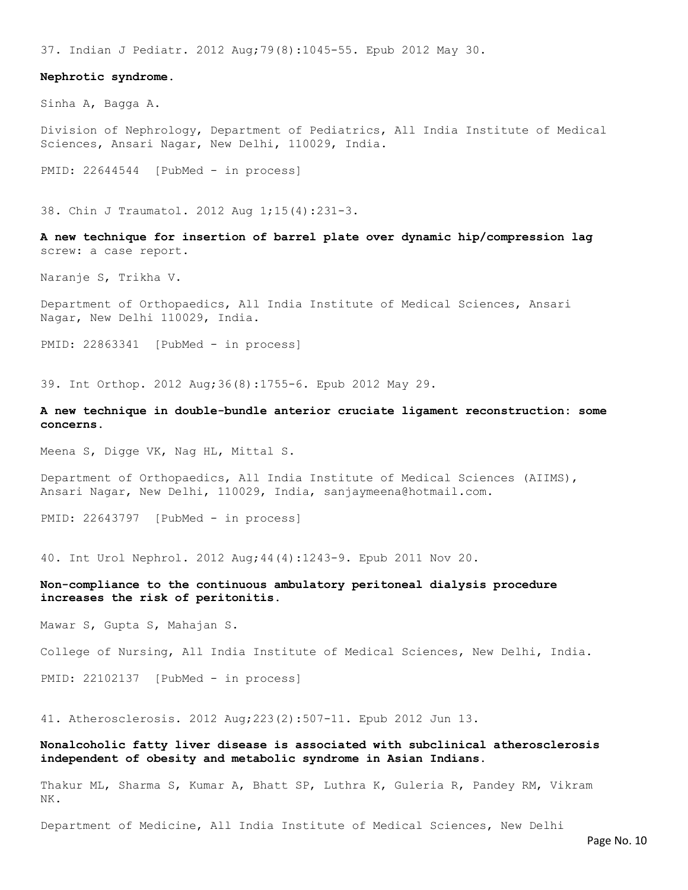37. Indian J Pediatr. 2012 Aug;79(8):1045-55. Epub 2012 May 30.

#### Nephrotic syndrome.

Sinha A, Bagga A.

Division of Nephrology, Department of Pediatrics, All India Institute of Medical Sciences, Ansari Nagar, New Delhi, 110029, India.

PMID: 22644544 [PubMed - in process]

38. Chin J Traumatol. 2012 Aug 1;15(4):231-3.

A new technique for insertion of barrel plate over dynamic hip/compression lag screw: a case report.

Naranje S, Trikha V.

Department of Orthopaedics, All India Institute of Medical Sciences, Ansari Nagar, New Delhi 110029, India.

PMID: 22863341 [PubMed - in process]

39. Int Orthop. 2012 Aug;36(8):1755-6. Epub 2012 May 29.

A new technique in double-bundle anterior cruciate ligament reconstruction: some concerns.

Meena S, Digge VK, Nag HL, Mittal S.

Department of Orthopaedics, All India Institute of Medical Sciences (AIIMS), Ansari Nagar, New Delhi, 110029, India, sanjaymeena@hotmail.com.

PMID: 22643797 [PubMed - in process]

40. Int Urol Nephrol. 2012 Aug;44(4):1243-9. Epub 2011 Nov 20.

### Non-compliance to the continuous ambulatory peritoneal dialysis procedure increases the risk of peritonitis.

Mawar S, Gupta S, Mahajan S.

College of Nursing, All India Institute of Medical Sciences, New Delhi, India.

PMID: 22102137 [PubMed - in process]

41. Atherosclerosis. 2012 Aug;223(2):507-11. Epub 2012 Jun 13.

### Nonalcoholic fatty liver disease is associated with subclinical atherosclerosis independent of obesity and metabolic syndrome in Asian Indians.

Thakur ML, Sharma S, Kumar A, Bhatt SP, Luthra K, Guleria R, Pandey RM, Vikram NK.

Department of Medicine, All India Institute of Medical Sciences, New Delhi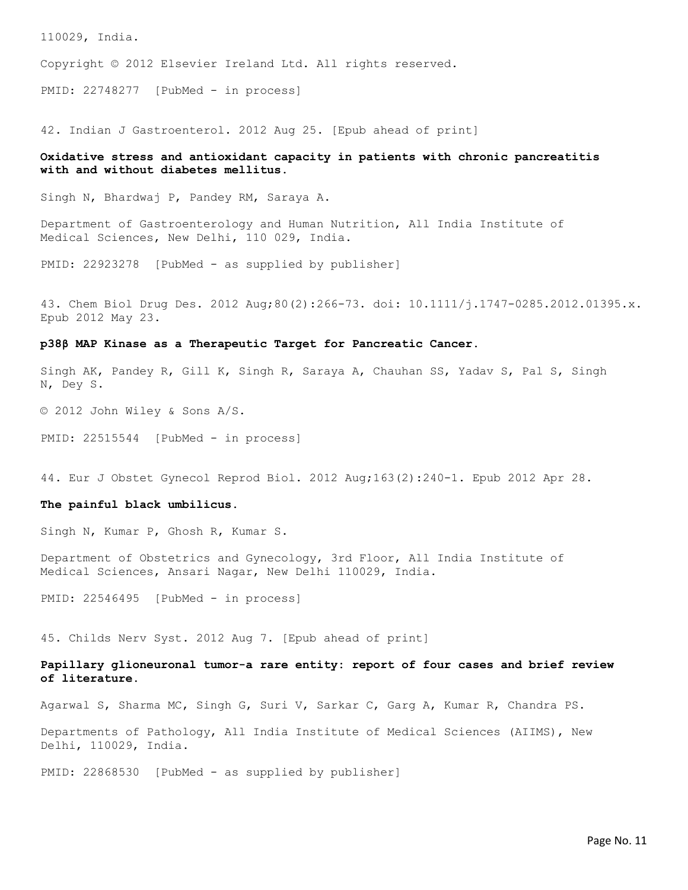110029, India.

Copyright © 2012 Elsevier Ireland Ltd. All rights reserved.

PMID: 22748277 [PubMed - in process]

42. Indian J Gastroenterol. 2012 Aug 25. [Epub ahead of print]

## Oxidative stress and antioxidant capacity in patients with chronic pancreatitis with and without diabetes mellitus.

Singh N, Bhardwaj P, Pandey RM, Saraya A.

Department of Gastroenterology and Human Nutrition, All India Institute of Medical Sciences, New Delhi, 110 029, India.

PMID: 22923278 [PubMed - as supplied by publisher]

43. Chem Biol Drug Des. 2012 Aug;80(2):266-73. doi: 10.1111/j.1747-0285.2012.01395.x. Epub 2012 May 23.

#### p38β MAP Kinase as a Therapeutic Target for Pancreatic Cancer.

Singh AK, Pandey R, Gill K, Singh R, Saraya A, Chauhan SS, Yadav S, Pal S, Singh N, Dey S.

© 2012 John Wiley & Sons A/S.

PMID: 22515544 [PubMed - in process]

44. Eur J Obstet Gynecol Reprod Biol. 2012 Aug;163(2):240-1. Epub 2012 Apr 28.

#### The painful black umbilicus.

Singh N, Kumar P, Ghosh R, Kumar S.

Department of Obstetrics and Gynecology, 3rd Floor, All India Institute of Medical Sciences, Ansari Nagar, New Delhi 110029, India.

PMID: 22546495 [PubMed - in process]

45. Childs Nerv Syst. 2012 Aug 7. [Epub ahead of print]

## Papillary glioneuronal tumor-a rare entity: report of four cases and brief review of literature.

Agarwal S, Sharma MC, Singh G, Suri V, Sarkar C, Garg A, Kumar R, Chandra PS.

Departments of Pathology, All India Institute of Medical Sciences (AIIMS), New Delhi, 110029, India.

PMID: 22868530 [PubMed - as supplied by publisher]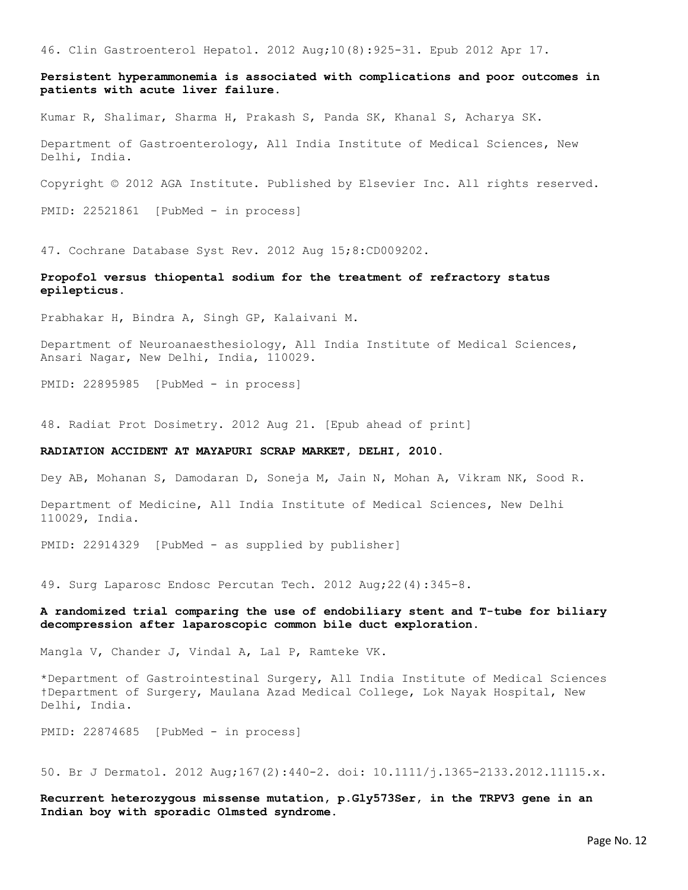46. Clin Gastroenterol Hepatol. 2012 Aug;10(8):925-31. Epub 2012 Apr 17.

Persistent hyperammonemia is associated with complications and poor outcomes in patients with acute liver failure.

Kumar R, Shalimar, Sharma H, Prakash S, Panda SK, Khanal S, Acharya SK.

Department of Gastroenterology, All India Institute of Medical Sciences, New Delhi, India.

Copyright © 2012 AGA Institute. Published by Elsevier Inc. All rights reserved.

PMID: 22521861 [PubMed - in process]

47. Cochrane Database Syst Rev. 2012 Aug 15;8:CD009202.

## Propofol versus thiopental sodium for the treatment of refractory status epilepticus.

Prabhakar H, Bindra A, Singh GP, Kalaivani M.

Department of Neuroanaesthesiology, All India Institute of Medical Sciences, Ansari Nagar, New Delhi, India, 110029.

PMID: 22895985 [PubMed - in process]

48. Radiat Prot Dosimetry. 2012 Aug 21. [Epub ahead of print]

#### RADIATION ACCIDENT AT MAYAPURI SCRAP MARKET, DELHI, 2010.

Dey AB, Mohanan S, Damodaran D, Soneja M, Jain N, Mohan A, Vikram NK, Sood R.

Department of Medicine, All India Institute of Medical Sciences, New Delhi 110029, India.

PMID: 22914329 [PubMed - as supplied by publisher]

49. Surg Laparosc Endosc Percutan Tech. 2012 Aug;22(4):345-8.

### A randomized trial comparing the use of endobiliary stent and T-tube for biliary decompression after laparoscopic common bile duct exploration.

Mangla V, Chander J, Vindal A, Lal P, Ramteke VK.

\*Department of Gastrointestinal Surgery, All India Institute of Medical Sciences †Department of Surgery, Maulana Azad Medical College, Lok Nayak Hospital, New Delhi, India.

PMID: 22874685 [PubMed - in process]

50. Br J Dermatol. 2012 Aug;167(2):440-2. doi: 10.1111/j.1365-2133.2012.11115.x.

Recurrent heterozygous missense mutation, p.Gly573Ser, in the TRPV3 gene in an Indian boy with sporadic Olmsted syndrome.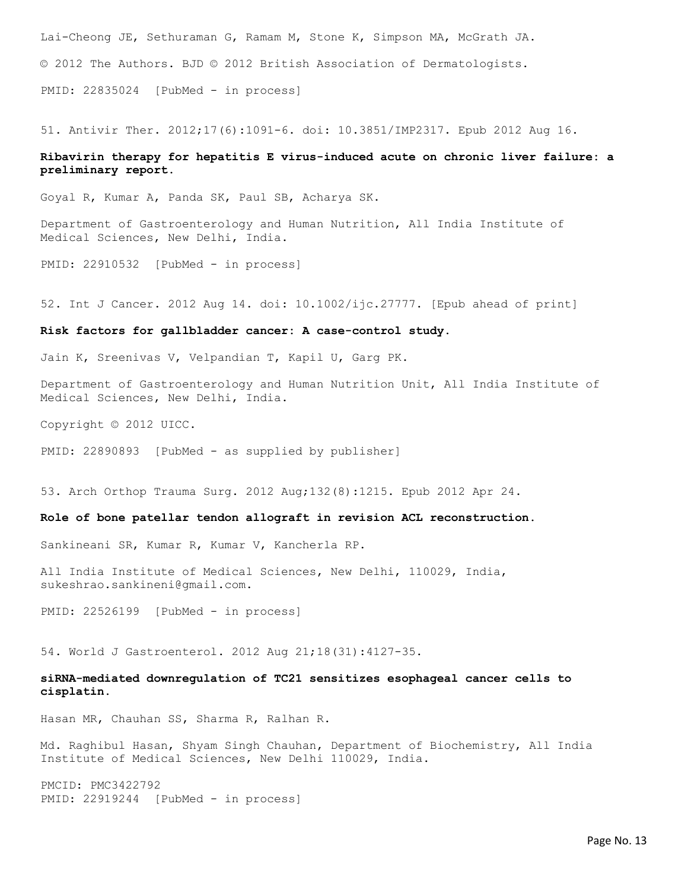Lai-Cheong JE, Sethuraman G, Ramam M, Stone K, Simpson MA, McGrath JA. © 2012 The Authors. BJD © 2012 British Association of Dermatologists. PMID: 22835024 [PubMed - in process]

51. Antivir Ther. 2012;17(6):1091-6. doi: 10.3851/IMP2317. Epub 2012 Aug 16.

### Ribavirin therapy for hepatitis E virus-induced acute on chronic liver failure: a preliminary report.

Goyal R, Kumar A, Panda SK, Paul SB, Acharya SK.

Department of Gastroenterology and Human Nutrition, All India Institute of Medical Sciences, New Delhi, India.

PMID: 22910532 [PubMed - in process]

52. Int J Cancer. 2012 Aug 14. doi: 10.1002/ijc.27777. [Epub ahead of print]

#### Risk factors for gallbladder cancer: A case-control study.

Jain K, Sreenivas V, Velpandian T, Kapil U, Garg PK.

Department of Gastroenterology and Human Nutrition Unit, All India Institute of Medical Sciences, New Delhi, India.

Copyright © 2012 UICC.

PMID: 22890893 [PubMed - as supplied by publisher]

53. Arch Orthop Trauma Surg. 2012 Aug;132(8):1215. Epub 2012 Apr 24.

### Role of bone patellar tendon allograft in revision ACL reconstruction.

Sankineani SR, Kumar R, Kumar V, Kancherla RP.

All India Institute of Medical Sciences, New Delhi, 110029, India, sukeshrao.sankineni@gmail.com.

PMID: 22526199 [PubMed - in process]

54. World J Gastroenterol. 2012 Aug 21;18(31):4127-35.

siRNA-mediated downregulation of TC21 sensitizes esophageal cancer cells to cisplatin.

Hasan MR, Chauhan SS, Sharma R, Ralhan R.

Md. Raghibul Hasan, Shyam Singh Chauhan, Department of Biochemistry, All India Institute of Medical Sciences, New Delhi 110029, India.

PMCID: PMC3422792 PMID: 22919244 [PubMed - in process]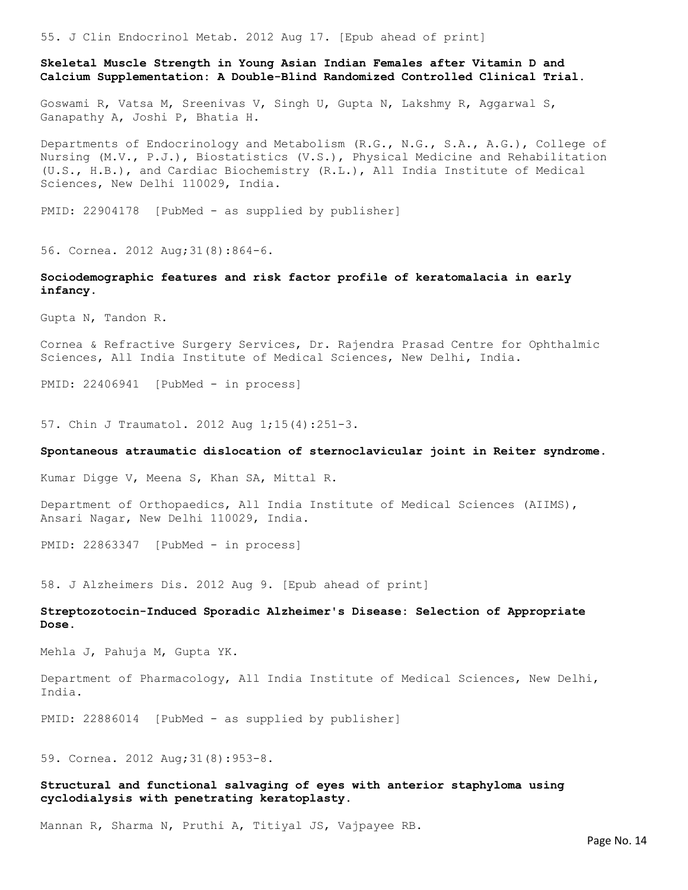55. J Clin Endocrinol Metab. 2012 Aug 17. [Epub ahead of print]

Skeletal Muscle Strength in Young Asian Indian Females after Vitamin D and Calcium Supplementation: A Double-Blind Randomized Controlled Clinical Trial.

Goswami R, Vatsa M, Sreenivas V, Singh U, Gupta N, Lakshmy R, Aggarwal S, Ganapathy A, Joshi P, Bhatia H.

Departments of Endocrinology and Metabolism (R.G., N.G., S.A., A.G.), College of Nursing (M.V., P.J.), Biostatistics (V.S.), Physical Medicine and Rehabilitation (U.S., H.B.), and Cardiac Biochemistry (R.L.), All India Institute of Medical Sciences, New Delhi 110029, India.

PMID: 22904178 [PubMed - as supplied by publisher]

56. Cornea. 2012 Aug;31(8):864-6.

Sociodemographic features and risk factor profile of keratomalacia in early infancy.

Gupta N, Tandon R.

Cornea & Refractive Surgery Services, Dr. Rajendra Prasad Centre for Ophthalmic Sciences, All India Institute of Medical Sciences, New Delhi, India.

PMID: 22406941 [PubMed - in process]

57. Chin J Traumatol. 2012 Aug 1;15(4):251-3.

#### Spontaneous atraumatic dislocation of sternoclavicular joint in Reiter syndrome.

Kumar Digge V, Meena S, Khan SA, Mittal R.

Department of Orthopaedics, All India Institute of Medical Sciences (AIIMS), Ansari Nagar, New Delhi 110029, India.

PMID: 22863347 [PubMed - in process]

58. J Alzheimers Dis. 2012 Aug 9. [Epub ahead of print]

Streptozotocin-Induced Sporadic Alzheimer's Disease: Selection of Appropriate Dose.

Mehla J, Pahuja M, Gupta YK.

Department of Pharmacology, All India Institute of Medical Sciences, New Delhi, India.

PMID: 22886014 [PubMed - as supplied by publisher]

59. Cornea. 2012 Aug;31(8):953-8.

Structural and functional salvaging of eyes with anterior staphyloma using cyclodialysis with penetrating keratoplasty.

Mannan R, Sharma N, Pruthi A, Titiyal JS, Vajpayee RB.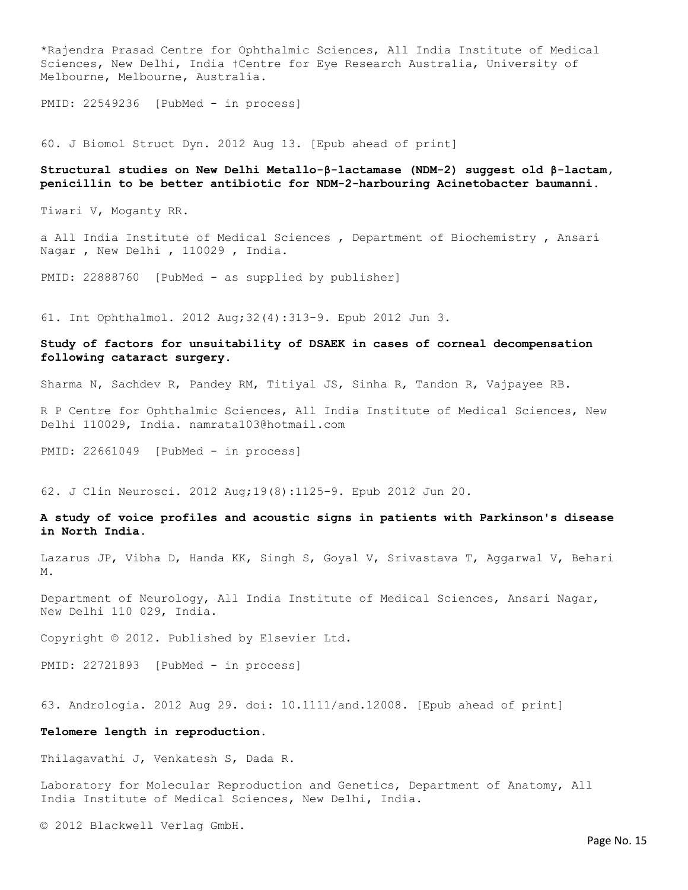\*Rajendra Prasad Centre for Ophthalmic Sciences, All India Institute of Medical Sciences, New Delhi, India †Centre for Eye Research Australia, University of Melbourne, Melbourne, Australia.

PMID: 22549236 [PubMed - in process]

60. J Biomol Struct Dyn. 2012 Aug 13. [Epub ahead of print]

### Structural studies on New Delhi Metallo-β-lactamase (NDM-2) suggest old β-lactam, penicillin to be better antibiotic for NDM-2-harbouring Acinetobacter baumanni.

Tiwari V, Moganty RR.

a All India Institute of Medical Sciences , Department of Biochemistry , Ansari Nagar , New Delhi , 110029 , India.

PMID: 22888760 [PubMed - as supplied by publisher]

61. Int Ophthalmol. 2012 Aug;32(4):313-9. Epub 2012 Jun 3.

### Study of factors for unsuitability of DSAEK in cases of corneal decompensation following cataract surgery.

Sharma N, Sachdev R, Pandey RM, Titiyal JS, Sinha R, Tandon R, Vajpayee RB.

R P Centre for Ophthalmic Sciences, All India Institute of Medical Sciences, New Delhi 110029, India. namrata103@hotmail.com

PMID: 22661049 [PubMed - in process]

62. J Clin Neurosci. 2012 Aug;19(8):1125-9. Epub 2012 Jun 20.

### A study of voice profiles and acoustic signs in patients with Parkinson's disease in North India.

Lazarus JP, Vibha D, Handa KK, Singh S, Goyal V, Srivastava T, Aggarwal V, Behari M.

Department of Neurology, All India Institute of Medical Sciences, Ansari Nagar, New Delhi 110 029, India.

Copyright © 2012. Published by Elsevier Ltd.

PMID: 22721893 [PubMed - in process]

63. Andrologia. 2012 Aug 29. doi: 10.1111/and.12008. [Epub ahead of print]

#### Telomere length in reproduction.

Thilagavathi J, Venkatesh S, Dada R.

Laboratory for Molecular Reproduction and Genetics, Department of Anatomy, All India Institute of Medical Sciences, New Delhi, India.

© 2012 Blackwell Verlag GmbH.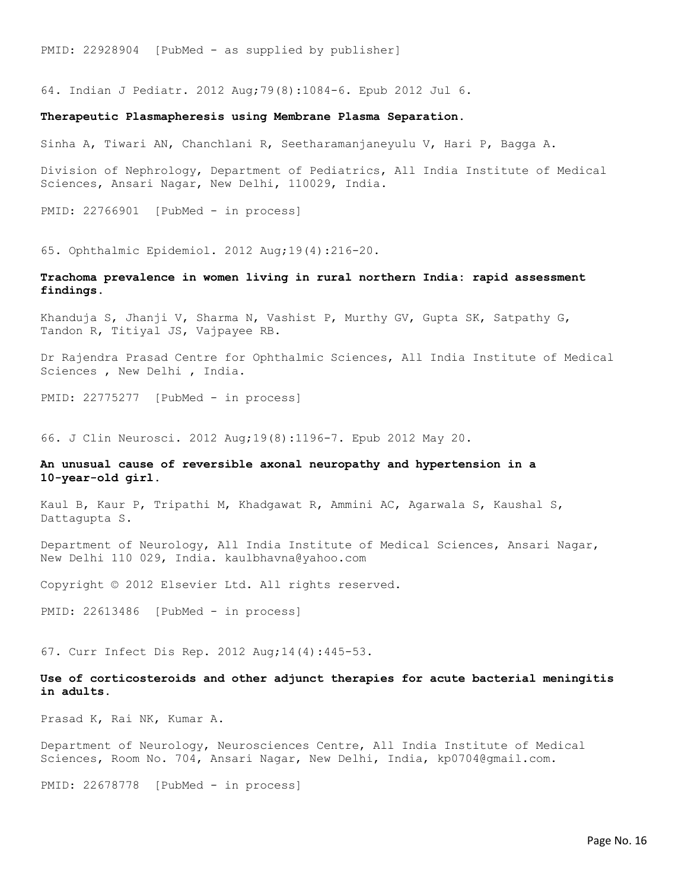PMID: 22928904 [PubMed - as supplied by publisher]

64. Indian J Pediatr. 2012 Aug;79(8):1084-6. Epub 2012 Jul 6.

### Therapeutic Plasmapheresis using Membrane Plasma Separation.

Sinha A, Tiwari AN, Chanchlani R, Seetharamanjaneyulu V, Hari P, Bagga A.

Division of Nephrology, Department of Pediatrics, All India Institute of Medical Sciences, Ansari Nagar, New Delhi, 110029, India.

PMID: 22766901 [PubMed - in process]

65. Ophthalmic Epidemiol. 2012 Aug;19(4):216-20.

### Trachoma prevalence in women living in rural northern India: rapid assessment findings.

Khanduja S, Jhanji V, Sharma N, Vashist P, Murthy GV, Gupta SK, Satpathy G, Tandon R, Titiyal JS, Vajpayee RB.

Dr Rajendra Prasad Centre for Ophthalmic Sciences, All India Institute of Medical Sciences , New Delhi , India.

PMID: 22775277 [PubMed - in process]

66. J Clin Neurosci. 2012 Aug;19(8):1196-7. Epub 2012 May 20.

### An unusual cause of reversible axonal neuropathy and hypertension in a 10-year-old girl.

Kaul B, Kaur P, Tripathi M, Khadgawat R, Ammini AC, Agarwala S, Kaushal S, Dattagupta S.

Department of Neurology, All India Institute of Medical Sciences, Ansari Nagar, New Delhi 110 029, India. kaulbhavna@yahoo.com

Copyright © 2012 Elsevier Ltd. All rights reserved.

PMID: 22613486 [PubMed - in process]

67. Curr Infect Dis Rep. 2012 Aug;14(4):445-53.

Use of corticosteroids and other adjunct therapies for acute bacterial meningitis in adults.

Prasad K, Rai NK, Kumar A.

Department of Neurology, Neurosciences Centre, All India Institute of Medical Sciences, Room No. 704, Ansari Nagar, New Delhi, India, kp0704@gmail.com.

PMID: 22678778 [PubMed - in process]